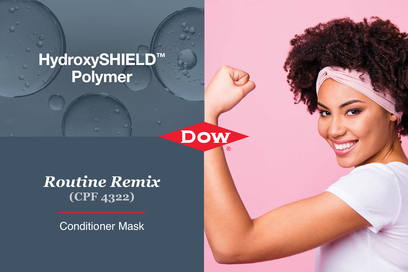# HydroxySHIELD™ Polymer

*Routine Remix* **(CPF 4322)**

Dow

Conditioner Mask